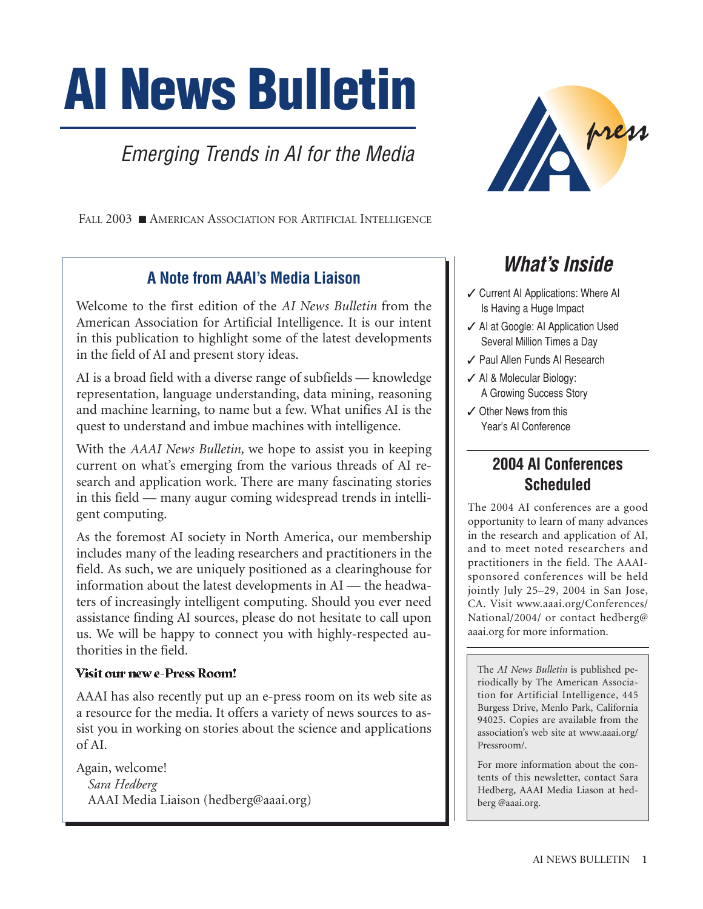# **AI News Bulletin**

# Emerging Trends in AI for the Media

FALL 2003 ■ AMERICAN ASSOCIATION FOR ARTIFICIAL INTELLIGENCE

#### **A Note from AAAI's Media Liaison**

Welcome to the first edition of the *AI News Bulletin* from the American Association for Artificial Intelligence. It is our intent in this publication to highlight some of the latest developments in the field of AI and present story ideas.

AI is a broad field with a diverse range of subfields — knowledge representation, language understanding, data mining, reasoning and machine learning, to name but a few. What unifies AI is the quest to understand and imbue machines with intelligence.

With the *AAAI News Bulletin,* we hope to assist you in keeping current on what's emerging from the various threads of AI research and application work. There are many fascinating stories in this field — many augur coming widespread trends in intelligent computing.

As the foremost AI society in North America, our membership includes many of the leading researchers and practitioners in the field. As such, we are uniquely positioned as a clearinghouse for information about the latest developments in AI — the headwaters of increasingly intelligent computing. Should you ever need assistance finding AI sources, please do not hesitate to call upon us. We will be happy to connect you with highly-respected authorities in the field.

#### Visit our new e-Press Room!

AAAI has also recently put up an e-press room on its web site as a resource for the media. It offers a variety of news sources to assist you in working on stories about the science and applications of AI.

Again, welcome! *Sara Hedberg* AAAI Media Liaison (hedberg@aaai.org)



## **What's Inside**

- ✓ Current AI Applications: Where AI Is Having a Huge Impact
- ✓ AI at Google: AI Application Used Several Million Times a Day
- ✓ Paul Allen Funds AI Research
- ✓ AI & Molecular Biology: A Growing Success Story
- ✓ Other News from this Year's AI Conference

### **2004 AI Conferences Scheduled**

The 2004 AI conferences are a good opportunity to learn of many advances in the research and application of AI, and to meet noted researchers and practitioners in the field. The AAAIsponsored conferences will be held jointly July 25–29, 2004 in San Jose, CA. Visit www.aaai.org/Conferences/ National/2004/ or contact hedberg@ aaai.org for more information.

The *AI News Bulletin* is published periodically by The American Association for Artificial Intelligence, 445 Burgess Drive, Menlo Park, California 94025. Copies are available from the association's web site at www.aaai.org/ Pressroom/.

For more information about the contents of this newsletter, contact Sara Hedberg, AAAI Media Liason at hedberg @aaai.org.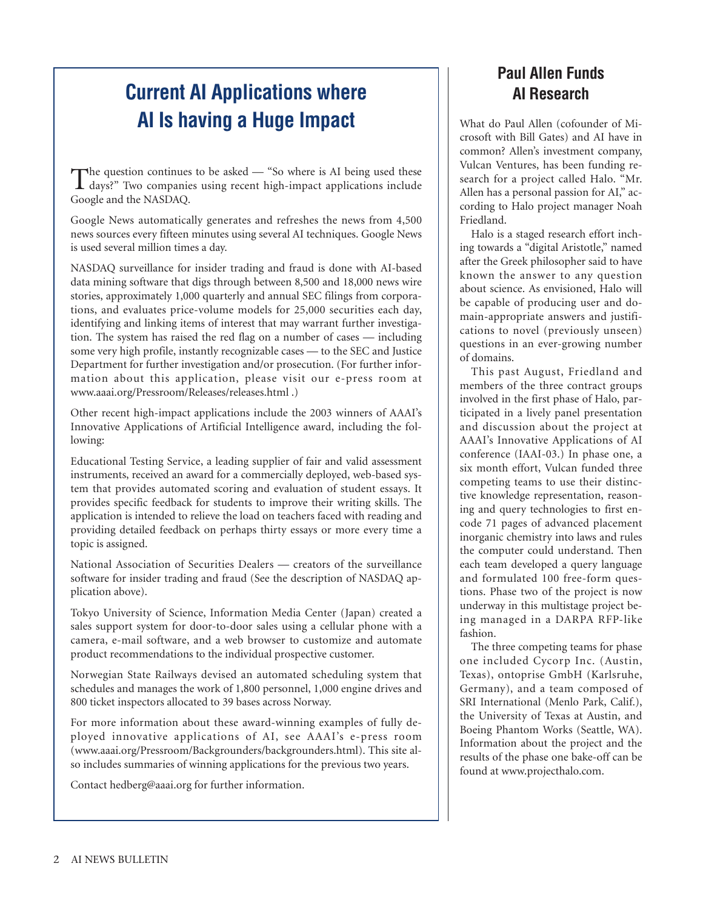## **Current AI Applications where AI Is having a Huge Impact**

The question continues to be asked — "So where is AI being used these<br>days?" Two companies using recent high-impact applications include Google and the NASDAQ.

Google News automatically generates and refreshes the news from 4,500 news sources every fifteen minutes using several AI techniques. Google News is used several million times a day.

NASDAQ surveillance for insider trading and fraud is done with AI-based data mining software that digs through between 8,500 and 18,000 news wire stories, approximately 1,000 quarterly and annual SEC filings from corporations, and evaluates price-volume models for 25,000 securities each day, identifying and linking items of interest that may warrant further investigation. The system has raised the red flag on a number of cases — including some very high profile, instantly recognizable cases — to the SEC and Justice Department for further investigation and/or prosecution. (For further information about this application, please visit our e-press room at www.aaai.org/Pressroom/Releases/releases.html .)

Other recent high-impact applications include the 2003 winners of AAAI's Innovative Applications of Artificial Intelligence award, including the following:

Educational Testing Service, a leading supplier of fair and valid assessment instruments, received an award for a commercially deployed, web-based system that provides automated scoring and evaluation of student essays. It provides specific feedback for students to improve their writing skills. The application is intended to relieve the load on teachers faced with reading and providing detailed feedback on perhaps thirty essays or more every time a topic is assigned.

National Association of Securities Dealers — creators of the surveillance software for insider trading and fraud (See the description of NASDAQ application above).

Tokyo University of Science, Information Media Center (Japan) created a sales support system for door-to-door sales using a cellular phone with a camera, e-mail software, and a web browser to customize and automate product recommendations to the individual prospective customer.

Norwegian State Railways devised an automated scheduling system that schedules and manages the work of 1,800 personnel, 1,000 engine drives and 800 ticket inspectors allocated to 39 bases across Norway.

For more information about these award-winning examples of fully deployed innovative applications of AI, see AAAI's e-press room (www.aaai.org/Pressroom/Backgrounders/backgrounders.html). This site also includes summaries of winning applications for the previous two years.

Contact hedberg@aaai.org for further information.

## **Paul Allen Funds AI Research**

What do Paul Allen (cofounder of Microsoft with Bill Gates) and AI have in common? Allen's investment company, Vulcan Ventures, has been funding research for a project called Halo. "Mr. Allen has a personal passion for AI," according to Halo project manager Noah Friedland.

Halo is a staged research effort inching towards a "digital Aristotle," named after the Greek philosopher said to have known the answer to any question about science. As envisioned, Halo will be capable of producing user and domain-appropriate answers and justifications to novel (previously unseen) questions in an ever-growing number of domains.

This past August, Friedland and members of the three contract groups involved in the first phase of Halo, participated in a lively panel presentation and discussion about the project at AAAI's Innovative Applications of AI conference (IAAI-03.) In phase one, a six month effort, Vulcan funded three competing teams to use their distinctive knowledge representation, reasoning and query technologies to first encode 71 pages of advanced placement inorganic chemistry into laws and rules the computer could understand. Then each team developed a query language and formulated 100 free-form questions. Phase two of the project is now underway in this multistage project being managed in a DARPA RFP-like fashion.

The three competing teams for phase one included Cycorp Inc. (Austin, Texas), ontoprise GmbH (Karlsruhe, Germany), and a team composed of SRI International (Menlo Park, Calif.), the University of Texas at Austin, and Boeing Phantom Works (Seattle, WA). Information about the project and the results of the phase one bake-off can be found at www.projecthalo.com.